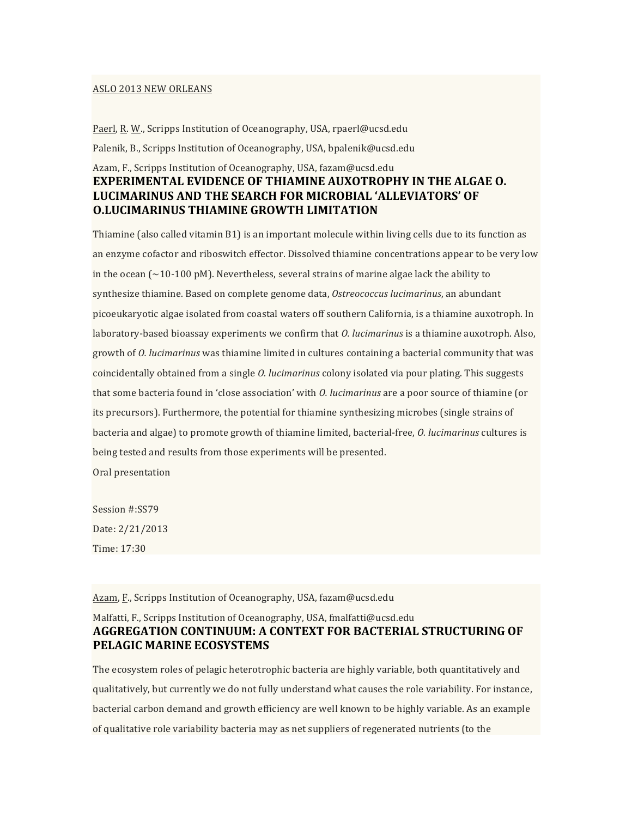#### ASLO 2013 NEW ORLEANS

Paerl, R. W., Scripps Institution of Oceanography, USA, rpaerl@ucsd.edu Palenik, B., Scripps Institution of Oceanography, USA, bpalenik@ucsd.edu

## Azam, F., Scripps Institution of Oceanography, USA, fazam@ucsd.edu **EXPERIMENTAL EVIDENCE OF THIAMINE AUXOTROPHY IN THE ALGAE O. LUCIMARINUS+AND+THE+SEARCH+FOR+MICROBIAL 'ALLEVIATORS'+OF+ O.LUCIMARINUS THIAMINE GROWTH LIMITATION**

Thiamine (also called vitamin  $B1$ ) is an important molecule within living cells due to its function as an enzyme cofactor and riboswitch effector. Dissolved thiamine concentrations appear to be very low in the ocean ( $\sim$ 10-100 pM). Nevertheless, several strains of marine algae lack the ability to synthesize thiamine. Based on complete genome data, *Ostreococcus lucimarinus*, an abundant picoeukaryotic algae isolated from coastal waters off southern California, is a thiamine auxotroph. In laboratory-based bioassay experiments we confirm that *O. lucimarinus* is a thiamine auxotroph. Also, growth of *O. lucimarinus* was thiamine limited in cultures containing a bacterial community that was coincidentally obtained from a single *O. lucimarinus* colony isolated via pour plating. This suggests that some bacteria found in 'close association' with *O. lucimarinus* are a poor source of thiamine (or its precursors). Furthermore, the potential for thiamine synthesizing microbes (single strains of bacteria and algae) to promote growth of thiamine limited, bacterial-free, *O. lucimarinus* cultures is being tested and results from those experiments will be presented.

Oral presentation

Session #:SS79 Date: 2/21/2013 Time: 17:30

Azam, F., Scripps Institution of Oceanography, USA, fazam@ucsd.edu

#### Malfatti, F., Scripps Institution of Oceanography, USA, fmalfatti@ucsd.edu **AGGREGATION+CONTINUUM:+A+CONTEXT+FOR+BACTERIAL STRUCTURING+OF+** PELAGIC MARINE ECOSYSTEMS

The ecosystem roles of pelagic heterotrophic bacteria are highly variable, both quantitatively and qualitatively, but currently we do not fully understand what causes the role variability. For instance, bacterial carbon demand and growth efficiency are well known to be highly variable. As an example of qualitative role variability bacteria may as net suppliers of regenerated nutrients (to the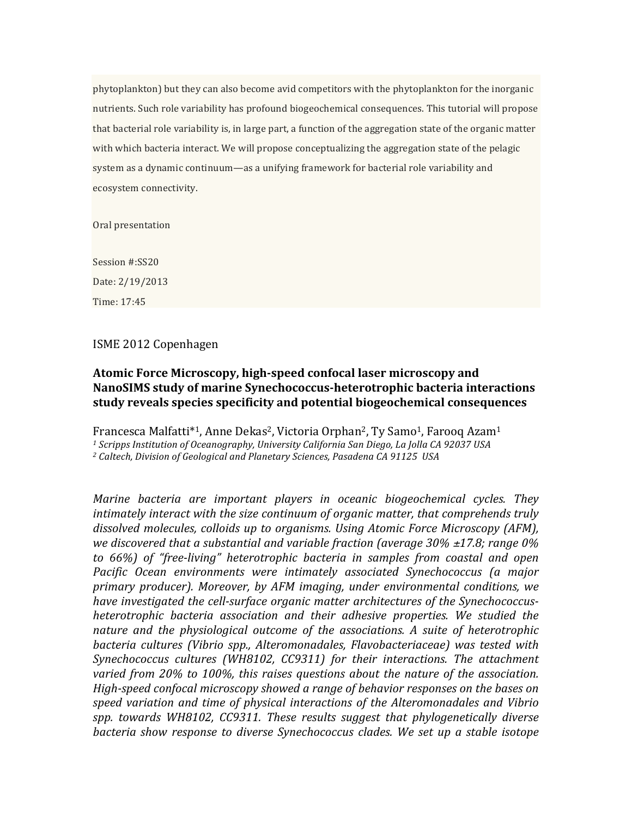phytoplankton) but they can also become avid competitors with the phytoplankton for the inorganic nutrients. Such role variability has profound biogeochemical consequences. This tutorial will propose that bacterial role variability is, in large part, a function of the aggregation state of the organic matter with which bacteria interact. We will propose conceptualizing the aggregation state of the pelagic system as a dynamic continuum—as a unifying framework for bacterial role variability and ecosystem connectivity.

Oral presentation

Session #:SS20 Date: 2/19/2013 Time:%17:45

### ISME 2012 Copenhagen

# Atomic Force Microscopy, high-speed confocal laser microscopy and NanoSIMS study of marine Synechococcus-heterotrophic bacteria interactions **study+reveals+species+specificity+and+potential+biogeochemical+consequences+**

Francesca Malfatti<sup>\*1</sup>, Anne Dekas<sup>2</sup>, Victoria Orphan<sup>2</sup>, Ty Samo<sup>1</sup>, Farooq Azam<sup>1</sup>

<sup>1</sup> Scripps Institution of Oceanography, University California San Diego, La Jolla CA 92037 USA

<sup>2</sup> Caltech, Division of Geological and Planetary Sciences, Pasadena CA 91125 USA

*Marine bacteria are important players in oceanic biogeochemical cycles. They* intimately interact with the size continuum of organic matter, that comprehends truly dissolved molecules, colloids up to organisms. Using Atomic Force Microscopy (AFM), *we)discovered)that)a)substantial)and)variable)fraction)(average)30%)*±*17.8;)range)0%) to* 66%) of "free-living" heterotrophic bacteria in samples from coastal and open *Pacific) Ocean) environments) were) intimately) associated) Synechococcus) (a) major)* primary producer). Moreover, by AFM imaging, under environmental conditions, we have investigated the cell-surface organic matter architectures of the Synechococcus*heterotrophic) bacteria) association) and) their) adhesive) properties.) We) studied) the)* nature and the physiological outcome of the associations. A suite of heterotrophic *bacteria) cultures) (Vibrio) spp.,) Alteromonadales,) Flavobacteriaceae)) was) tested) with)* Synechococcus cultures (WH8102, CC9311) for their interactions. The attachment varied from 20% to 100%, this raises questions about the nature of the association. *High-speed confocal microscopy showed a range of behavior responses on the bases on speed) variation) and) time) of) physical)interactions) of) the) Alteromonadales) and) Vibrio) spp.) towards) WH8102,) CC9311. These) results) suggest) that) phylogenetically) diverse)* bacteria show response to diverse Synechococcus clades. We set up a stable isotope